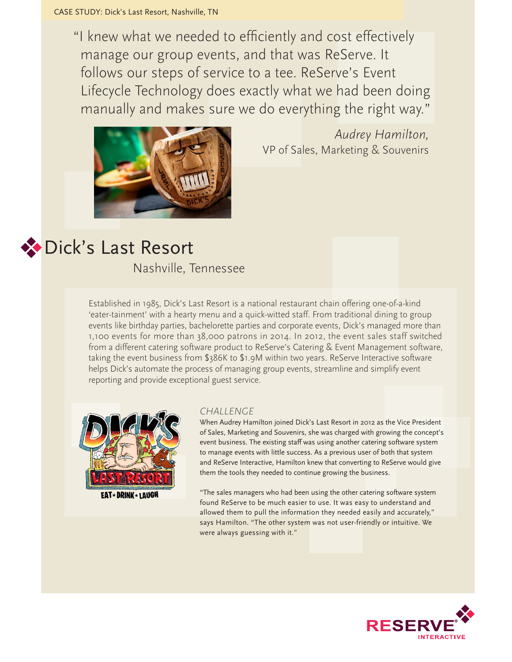"I knew what we needed to efficiently and cost effectively manage our group events, and that was ReServe. It follows our steps of service to a tee. ReServe's Event Lifecycle Technology does exactly what we had been doing manually and makes sure we do everything the right way."



*Audrey Hamilton,*  VP of Sales, Marketing & Souvenirs

## Dick's Last Resort

Nashville, Tennessee

Established in 1985, Dick's Last Resort is a national restaurant chain offering one-of-a-kind 'eater-tainment' with a hearty menu and a quick-witted staff. From traditional dining to group events like birthday parties, bachelorette parties and corporate events, Dick's managed more than 1,100 events for more than 38,000 patrons in 2014. In 2012, the event sales staff switched from a different catering software product to ReServe's Catering & Event Management software, taking the event business from \$386K to \$1.9M within two years. ReServe Interactive software helps Dick's automate the process of managing group events, streamline and simplify event reporting and provide exceptional guest service.



**EAT \* DRINK \* LAUGH** 

## *CHALLENGE*

When Audrey Hamilton joined Dick's Last Resort in 2012 as the Vice President of Sales, Marketing and Souvenirs, she was charged with growing the concept's event business. The existing staff was using another catering software system to manage events with little success. As a previous user of both that system and ReServe Interactive, Hamilton knew that converting to ReServe would give them the tools they needed to continue growing the business.

"The sales managers who had been using the other catering software system found ReServe to be much easier to use. It was easy to understand and allowed them to pull the information they needed easily and accurately," says Hamilton. "The other system was not user-friendly or intuitive. We were always guessing with it."